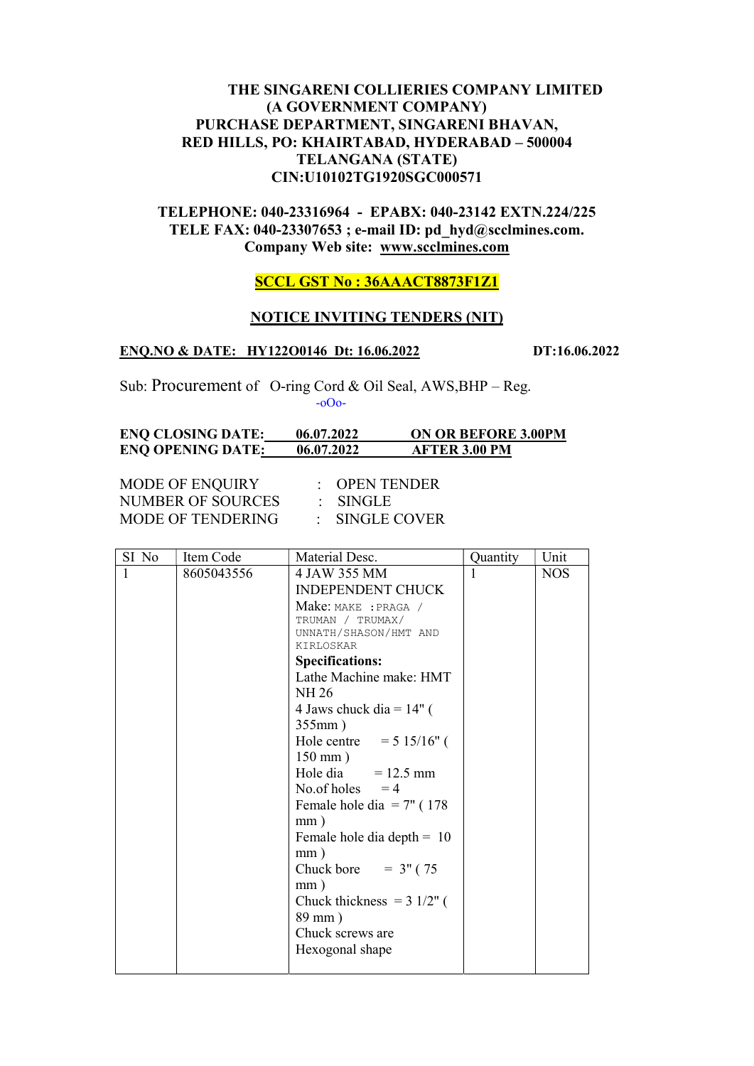# THE SINGARENI COLLIERIES COMPANY LIMITED (A GOVERNMENT COMPANY) PURCHASE DEPARTMENT, SINGARENI BHAVAN, RED HILLS, PO: KHAIRTABAD, HYDERABAD – 500004 TELANGANA (STATE) CIN:U10102TG1920SGC000571

# TELEPHONE: 040-23316964 - EPABX: 040-23142 EXTN.224/225 TELE FAX: 040-23307653 ; e-mail ID: pd\_hyd@scclmines.com. Company Web site: www.scclmines.com

# SCCL GST No : 36AAACT8873F1Z1

## NOTICE INVITING TENDERS (NIT)

### ENQ.NO & DATE: HY122O0146 Dt: 16.06.2022 DT:16.06.2022

Sub: Procurement of O-ring Cord & Oil Seal, AWS, BHP – Reg. -oOo-

| <b>ENQ CLOSING DATE:</b> | 06.07.2022 | <b>ON OR BEFORE 3.00PM</b> |
|--------------------------|------------|----------------------------|
| <b>ENQ OPENING DATE:</b> | 06.07.2022 | <b>AFTER 3.00 PM</b>       |

MODE OF ENQUIRY : OPEN TENDER NUMBER OF SOURCES : SINGLE MODE OF TENDERING : SINGLE COVER

| SI No | Item Code  | Material Desc.                        | Quantity | Unit       |
|-------|------------|---------------------------------------|----------|------------|
| 1     | 8605043556 | 4 JAW 355 MM                          | 1        | <b>NOS</b> |
|       |            | <b>INDEPENDENT CHUCK</b>              |          |            |
|       |            | Make: MAKE : PRAGA /                  |          |            |
|       |            | TRUMAN / TRUMAX/                      |          |            |
|       |            | UNNATH/SHASON/HMT AND<br>KIRLOSKAR    |          |            |
|       |            | <b>Specifications:</b>                |          |            |
|       |            | Lathe Machine make: HMT               |          |            |
|       |            | NH 26                                 |          |            |
|       |            | 4 Jaws chuck dia = $14"$ (            |          |            |
|       |            | $355mm$ )                             |          |            |
|       |            | Hole centre = $5 \frac{15}{16}$ (     |          |            |
|       |            | $150 \text{ mm}$ )                    |          |            |
|       |            | Hole dia $= 12.5$ mm                  |          |            |
|       |            | No.of holes $=4$                      |          |            |
|       |            | Female hole dia $= 7$ " (178          |          |            |
|       |            | mm)                                   |          |            |
|       |            | Female hole dia depth $= 10$          |          |            |
|       |            | mm)                                   |          |            |
|       |            | Chuck bore = $3''$ (75                |          |            |
|       |            | mm)                                   |          |            |
|       |            | Chuck thickness = $3 \frac{1}{2}$ " ( |          |            |
|       |            | 89 mm)                                |          |            |
|       |            | Chuck screws are                      |          |            |
|       |            | Hexogonal shape                       |          |            |
|       |            |                                       |          |            |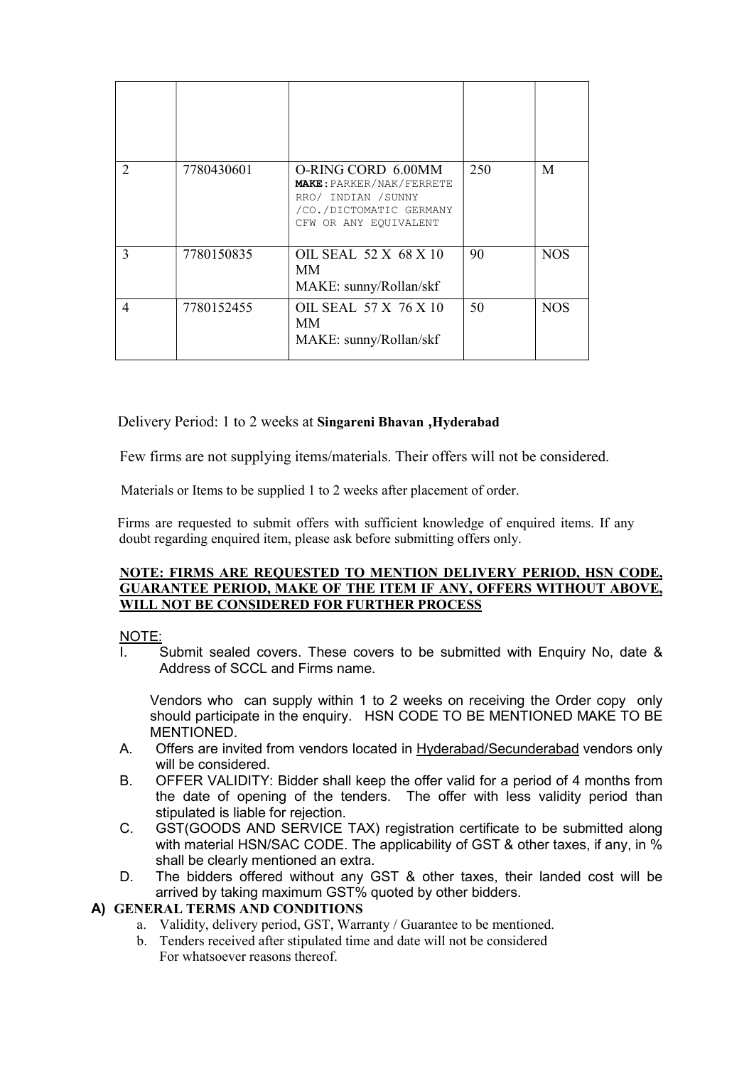| $\mathcal{D}_{\mathcal{L}}$ | 7780430601 | O-RING CORD 6.00MM<br><b>MAKE: PARKER/NAK/FERRETE</b><br>RRO/ INDIAN / SUNNY<br>/CO./DICTOMATIC GERMANY<br>CFW OR ANY EQUIVALENT | 250 | M          |
|-----------------------------|------------|----------------------------------------------------------------------------------------------------------------------------------|-----|------------|
| $\mathcal{E}$               | 7780150835 | OIL SEAL 52 X 68 X 10<br>MМ<br>MAKE: sunny/Rollan/skf                                                                            | 90  | <b>NOS</b> |
| 4                           | 7780152455 | OIL SEAL 57 X 76 X 10<br>MМ<br>MAKE: sunny/Rollan/skf                                                                            | 50  | <b>NOS</b> |

Delivery Period: 1 to 2 weeks at Singareni Bhavan ,Hyderabad

Few firms are not supplying items/materials. Their offers will not be considered.

Materials or Items to be supplied 1 to 2 weeks after placement of order.

 Firms are requested to submit offers with sufficient knowledge of enquired items. If any doubt regarding enquired item, please ask before submitting offers only.

#### NOTE: FIRMS ARE REQUESTED TO MENTION DELIVERY PERIOD, HSN CODE, GUARANTEE PERIOD, MAKE OF THE ITEM IF ANY, OFFERS WITHOUT ABOVE, WILL NOT BE CONSIDERED FOR FURTHER PROCESS

# NOTE:

Submit sealed covers. These covers to be submitted with Enquiry No, date & Address of SCCL and Firms name.

Vendors who can supply within 1 to 2 weeks on receiving the Order copy only should participate in the enquiry. HSN CODE TO BE MENTIONED MAKE TO BE MENTIONED.

- A. Offers are invited from vendors located in Hyderabad/Secunderabad vendors only will be considered.
- B. OFFER VALIDITY: Bidder shall keep the offer valid for a period of 4 months from the date of opening of the tenders. The offer with less validity period than stipulated is liable for rejection.
- C. GST(GOODS AND SERVICE TAX) registration certificate to be submitted along with material HSN/SAC CODE. The applicability of GST & other taxes, if any, in % shall be clearly mentioned an extra.
- D. The bidders offered without any GST & other taxes, their landed cost will be arrived by taking maximum GST% quoted by other bidders.

# A) GENERAL TERMS AND CONDITIONS

- a. Validity, delivery period, GST, Warranty / Guarantee to be mentioned.
- b. Tenders received after stipulated time and date will not be considered For whatsoever reasons thereof.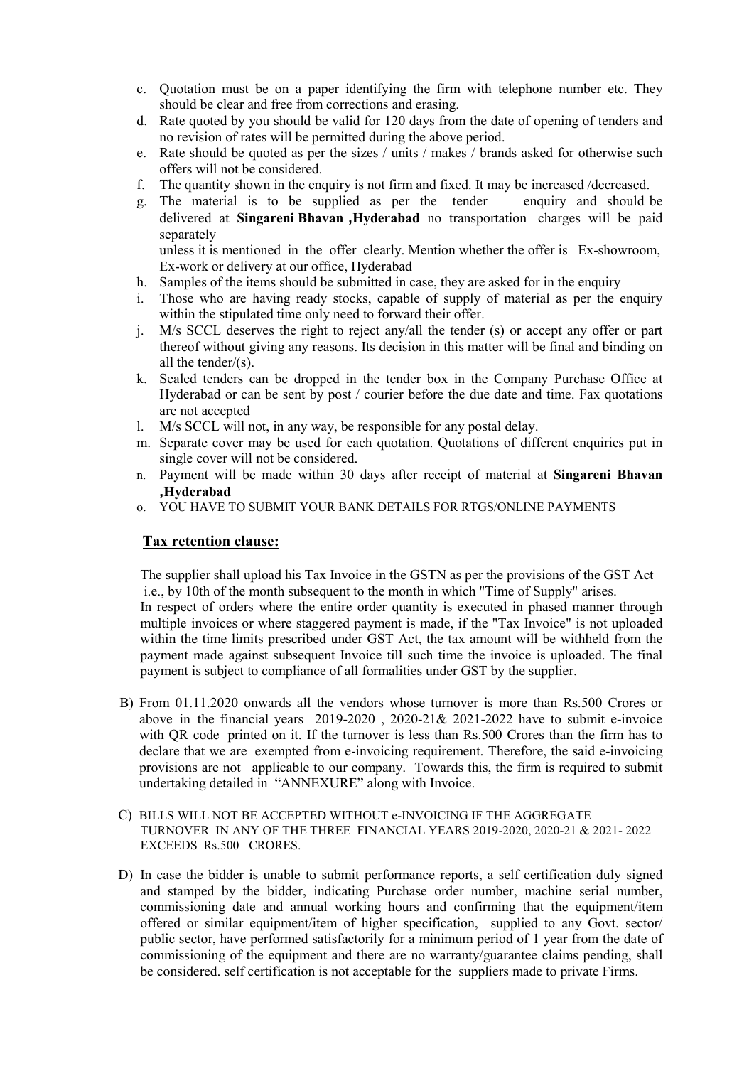- c. Quotation must be on a paper identifying the firm with telephone number etc. They should be clear and free from corrections and erasing.
- d. Rate quoted by you should be valid for 120 days from the date of opening of tenders and no revision of rates will be permitted during the above period.
- e. Rate should be quoted as per the sizes / units / makes / brands asked for otherwise such offers will not be considered.
- f. The quantity shown in the enquiry is not firm and fixed. It may be increased /decreased.
- g. The material is to be supplied as per the tender enquiry and should be delivered at Singareni Bhavan ,Hyderabad no transportation charges will be paid separately

unless it is mentioned in the offer clearly. Mention whether the offer is Ex-showroom, Ex-work or delivery at our office, Hyderabad

- h. Samples of the items should be submitted in case, they are asked for in the enquiry
- i. Those who are having ready stocks, capable of supply of material as per the enquiry within the stipulated time only need to forward their offer.
- j. M/s SCCL deserves the right to reject any/all the tender (s) or accept any offer or part thereof without giving any reasons. Its decision in this matter will be final and binding on all the tender/(s).
- k. Sealed tenders can be dropped in the tender box in the Company Purchase Office at Hyderabad or can be sent by post / courier before the due date and time. Fax quotations are not accepted
- l. M/s SCCL will not, in any way, be responsible for any postal delay.
- m. Separate cover may be used for each quotation. Quotations of different enquiries put in single cover will not be considered.
- n. Payment will be made within 30 days after receipt of material at Singareni Bhavan ,Hyderabad
- o. YOU HAVE TO SUBMIT YOUR BANK DETAILS FOR RTGS/ONLINE PAYMENTS

## Tax retention clause:

 The supplier shall upload his Tax Invoice in the GSTN as per the provisions of the GST Act i.e., by 10th of the month subsequent to the month in which "Time of Supply" arises. In respect of orders where the entire order quantity is executed in phased manner through multiple invoices or where staggered payment is made, if the "Tax Invoice" is not uploaded within the time limits prescribed under GST Act, the tax amount will be withheld from the payment made against subsequent Invoice till such time the invoice is uploaded. The final payment is subject to compliance of all formalities under GST by the supplier.

- B) From 01.11.2020 onwards all the vendors whose turnover is more than Rs.500 Crores or above in the financial years 2019-2020 , 2020-21& 2021-2022 have to submit e-invoice with OR code printed on it. If the turnover is less than Rs.500 Crores than the firm has to declare that we are exempted from e-invoicing requirement. Therefore, the said e-invoicing provisions are not applicable to our company. Towards this, the firm is required to submit undertaking detailed in "ANNEXURE" along with Invoice.
- C) BILLS WILL NOT BE ACCEPTED WITHOUT e-INVOICING IF THE AGGREGATE TURNOVER IN ANY OF THE THREE FINANCIAL YEARS 2019-2020, 2020-21 & 2021- 2022 EXCEEDS Rs.500 CRORES.
- D) In case the bidder is unable to submit performance reports, a self certification duly signed and stamped by the bidder, indicating Purchase order number, machine serial number, commissioning date and annual working hours and confirming that the equipment/item offered or similar equipment/item of higher specification, supplied to any Govt. sector/ public sector, have performed satisfactorily for a minimum period of 1 year from the date of commissioning of the equipment and there are no warranty/guarantee claims pending, shall be considered. self certification is not acceptable for the suppliers made to private Firms.